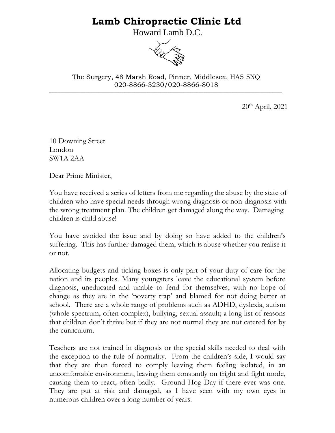## **Lamb Chiropractic Clinic Ltd**

Howard Lamb D.C.



\_\_\_\_\_\_\_\_\_\_\_\_\_\_\_\_\_\_\_\_\_\_\_\_\_\_\_\_\_\_\_\_\_\_\_\_\_\_\_\_\_\_\_\_\_\_\_\_\_\_\_\_\_\_\_\_\_\_\_\_\_\_\_\_\_\_\_\_\_\_\_ The Surgery, 48 Marsh Road, Pinner, Middlesex, HA5 5NQ 020-8866-3230/020-8866-8018

20th April, 2021

10 Downing Street London SW1A 2AA

Dear Prime Minister,

You have received a series of letters from me regarding the abuse by the state of children who have special needs through wrong diagnosis or non-diagnosis with the wrong treatment plan. The children get damaged along the way. Damaging children is child abuse!

You have avoided the issue and by doing so have added to the children's suffering. This has further damaged them, which is abuse whether you realise it or not.

Allocating budgets and ticking boxes is only part of your duty of care for the nation and its peoples. Many youngsters leave the educational system before diagnosis, uneducated and unable to fend for themselves, with no hope of change as they are in the 'poverty trap' and blamed for not doing better at school. There are a whole range of problems such as ADHD, dyslexia, autism (whole spectrum, often complex), bullying, sexual assault; a long list of reasons that children don't thrive but if they are not normal they are not catered for by the curriculum.

Teachers are not trained in diagnosis or the special skills needed to deal with the exception to the rule of normality. From the children's side, I would say that they are then forced to comply leaving them feeling isolated, in an uncomfortable environment, leaving them constantly on fright and fight mode, causing them to react, often badly. Ground Hog Day if there ever was one. They are put at risk and damaged, as I have seen with my own eyes in numerous children over a long number of years.